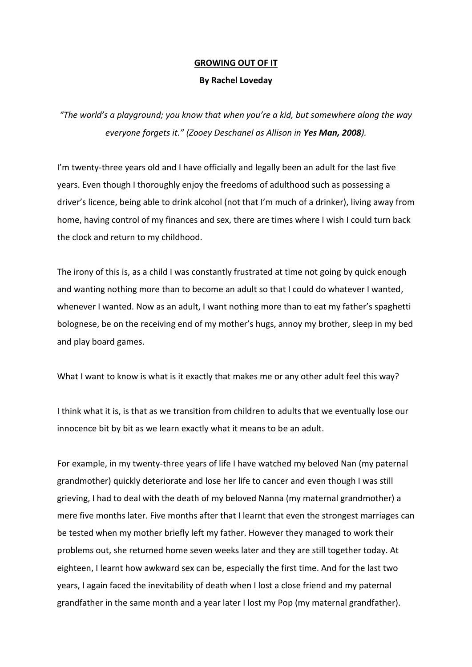## **GROWING OUT OF IT**

## **By Rachel Loveday**

*"The world's a playground; you know that when you're a kid, but somewhere along the way everyone forgets it." (Zooey Deschanel as Allison in Yes Man, 2008).*

I'm twenty-three years old and I have officially and legally been an adult for the last five years. Even though I thoroughly enjoy the freedoms of adulthood such as possessing a driver's licence, being able to drink alcohol (not that I'm much of a drinker), living away from home, having control of my finances and sex, there are times where I wish I could turn back the clock and return to my childhood.

The irony of this is, as a child I was constantly frustrated at time not going by quick enough and wanting nothing more than to become an adult so that I could do whatever I wanted, whenever I wanted. Now as an adult, I want nothing more than to eat my father's spaghetti bolognese, be on the receiving end of my mother's hugs, annoy my brother, sleep in my bed and play board games.

What I want to know is what is it exactly that makes me or any other adult feel this way?

I think what it is, is that as we transition from children to adults that we eventually lose our innocence bit by bit as we learn exactly what it means to be an adult.

For example, in my twenty-three years of life I have watched my beloved Nan (my paternal grandmother) quickly deteriorate and lose her life to cancer and even though I was still grieving, I had to deal with the death of my beloved Nanna (my maternal grandmother) a mere five months later. Five months after that I learnt that even the strongest marriages can be tested when my mother briefly left my father. However they managed to work their problems out, she returned home seven weeks later and they are still together today. At eighteen, I learnt how awkward sex can be, especially the first time. And for the last two years, I again faced the inevitability of death when I lost a close friend and my paternal grandfather in the same month and a year later I lost my Pop (my maternal grandfather).